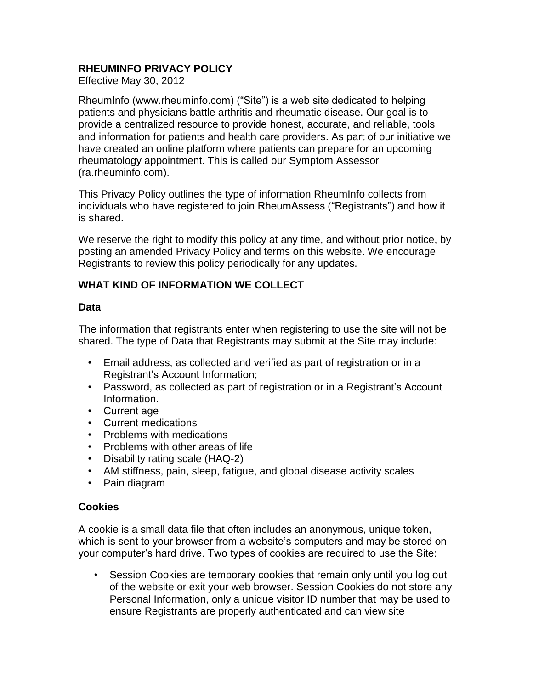# **RHEUMINFO PRIVACY POLICY**

Effective May 30, 2012

RheumInfo (www.rheuminfo.com) ("Site") is a web site dedicated to helping patients and physicians battle arthritis and rheumatic disease. Our goal is to provide a centralized resource to provide honest, accurate, and reliable, tools and information for patients and health care providers. As part of our initiative we have created an online platform where patients can prepare for an upcoming rheumatology appointment. This is called our Symptom Assessor (ra.rheuminfo.com).

This Privacy Policy outlines the type of information RheumInfo collects from individuals who have registered to join RheumAssess ("Registrants") and how it is shared.

We reserve the right to modify this policy at any time, and without prior notice, by posting an amended Privacy Policy and terms on this website. We encourage Registrants to review this policy periodically for any updates.

## **WHAT KIND OF INFORMATION WE COLLECT**

### **Data**

The information that registrants enter when registering to use the site will not be shared. The type of Data that Registrants may submit at the Site may include:

- Email address, as collected and verified as part of registration or in a Registrant's Account Information;
- Password, as collected as part of registration or in a Registrant's Account Information.
- Current age
- Current medications
- Problems with medications
- Problems with other areas of life
- Disability rating scale (HAQ-2)
- AM stiffness, pain, sleep, fatigue, and global disease activity scales
- Pain diagram

### **Cookies**

A cookie is a small data file that often includes an anonymous, unique token, which is sent to your browser from a website's computers and may be stored on your computer's hard drive. Two types of cookies are required to use the Site:

• Session Cookies are temporary cookies that remain only until you log out of the website or exit your web browser. Session Cookies do not store any Personal Information, only a unique visitor ID number that may be used to ensure Registrants are properly authenticated and can view site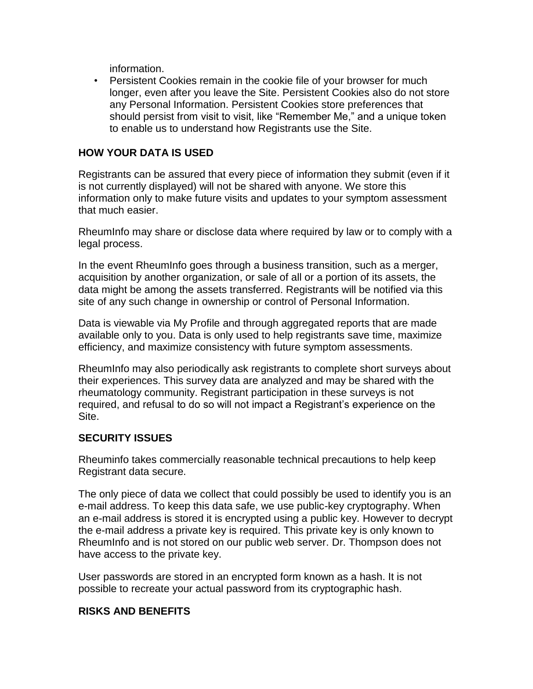information.

• Persistent Cookies remain in the cookie file of your browser for much longer, even after you leave the Site. Persistent Cookies also do not store any Personal Information. Persistent Cookies store preferences that should persist from visit to visit, like "Remember Me," and a unique token to enable us to understand how Registrants use the Site.

### **HOW YOUR DATA IS USED**

Registrants can be assured that every piece of information they submit (even if it is not currently displayed) will not be shared with anyone. We store this information only to make future visits and updates to your symptom assessment that much easier.

RheumInfo may share or disclose data where required by law or to comply with a legal process.

In the event RheumInfo goes through a business transition, such as a merger, acquisition by another organization, or sale of all or a portion of its assets, the data might be among the assets transferred. Registrants will be notified via this site of any such change in ownership or control of Personal Information.

Data is viewable via My Profile and through aggregated reports that are made available only to you. Data is only used to help registrants save time, maximize efficiency, and maximize consistency with future symptom assessments.

RheumInfo may also periodically ask registrants to complete short surveys about their experiences. This survey data are analyzed and may be shared with the rheumatology community. Registrant participation in these surveys is not required, and refusal to do so will not impact a Registrant's experience on the Site.

### **SECURITY ISSUES**

Rheuminfo takes commercially reasonable technical precautions to help keep Registrant data secure.

The only piece of data we collect that could possibly be used to identify you is an e-mail address. To keep this data safe, we use public-key cryptography. When an e-mail address is stored it is encrypted using a public key. However to decrypt the e-mail address a private key is required. This private key is only known to RheumInfo and is not stored on our public web server. Dr. Thompson does not have access to the private key.

User passwords are stored in an encrypted form known as a hash. It is not possible to recreate your actual password from its cryptographic hash.

### **RISKS AND BENEFITS**